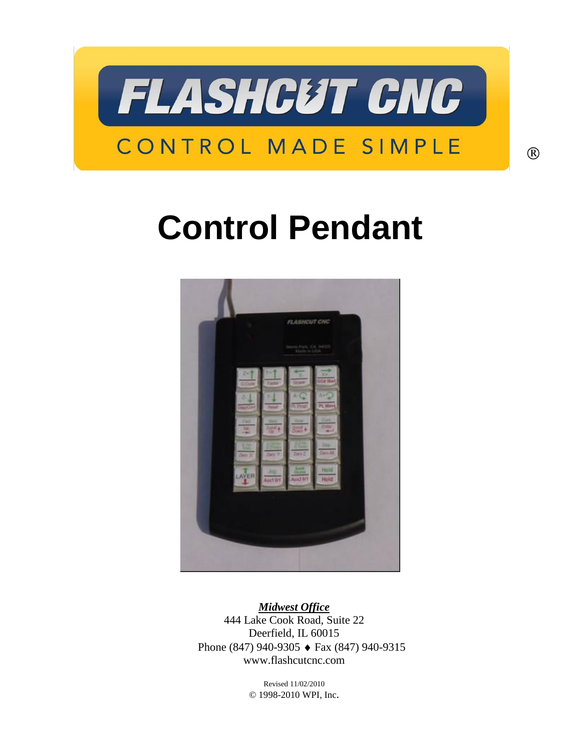

# **Control Pendant**



*Midwest Office* 444 Lake Cook Road, Suite 22 Deerfield, IL 60015 Phone (847) 940-9305 ♦ Fax (847) 940-9315 www.flashcutcnc.com

> Revised 11/02/2010 © 1998-2010 WPI, Inc.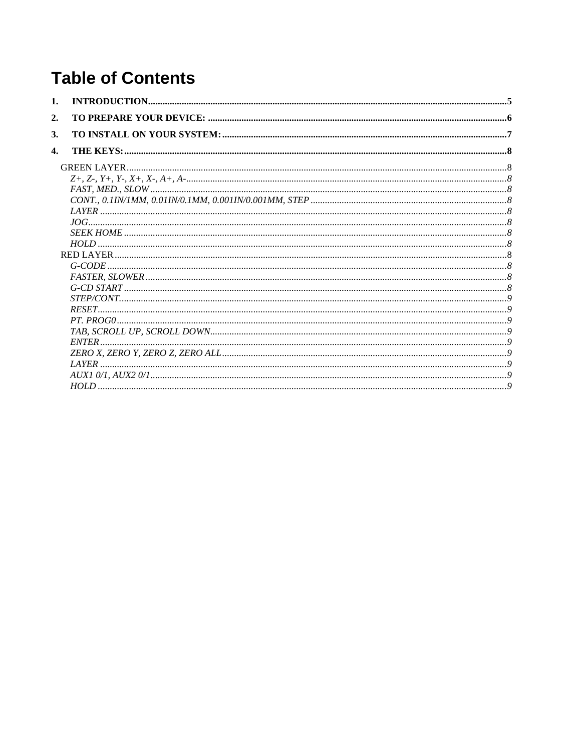# **Table of Contents**

| 2.           |  |
|--------------|--|
| 3.           |  |
| $\mathbf{4}$ |  |
|              |  |
|              |  |
|              |  |
|              |  |
|              |  |
|              |  |
|              |  |
|              |  |
|              |  |
|              |  |
|              |  |
|              |  |
|              |  |
|              |  |
|              |  |
|              |  |
|              |  |
|              |  |
|              |  |
|              |  |
|              |  |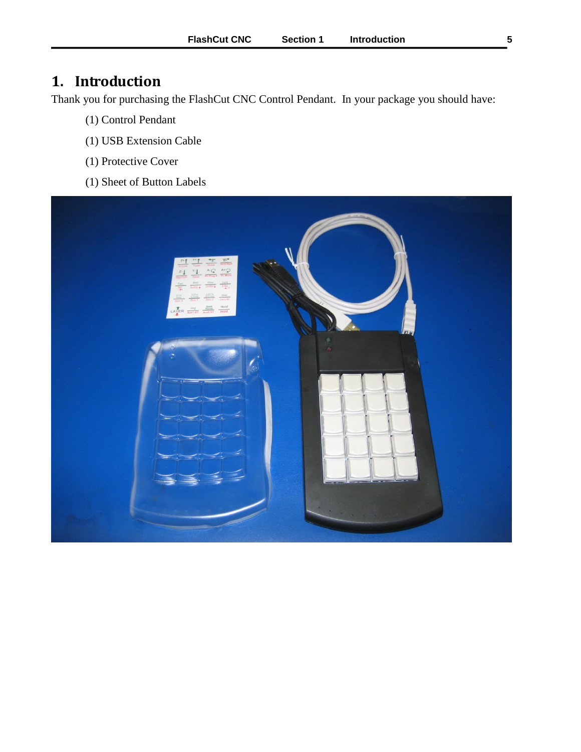# <span id="page-4-0"></span>**1. Introduction**

Thank you for purchasing the FlashCut CNC Control Pendant. In your package you should have:

- (1) Control Pendant
- (1) USB Extension Cable
- (1) Protective Cover
- (1) Sheet of Button Labels

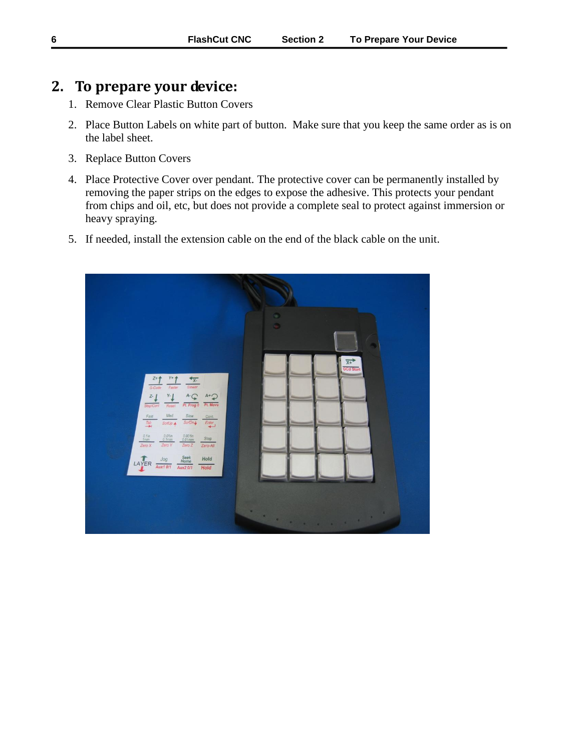# <span id="page-5-0"></span>**2. To prepare your device:**

- 1. Remove Clear Plastic Button Covers
- 2. Place Button Labels on white part of button. Make sure that you keep the same order as is on the label sheet.
- 3. Replace Button Covers
- 4. Place Protective Cover over pendant. The protective cover can be permanently installed by removing the paper strips on the edges to expose the adhesive. This protects your pendant from chips and oil, etc, but does not provide a complete seal to protect against immersion or heavy spraying.
- 5. If needed, install the extension cable on the end of the black cable on the unit.

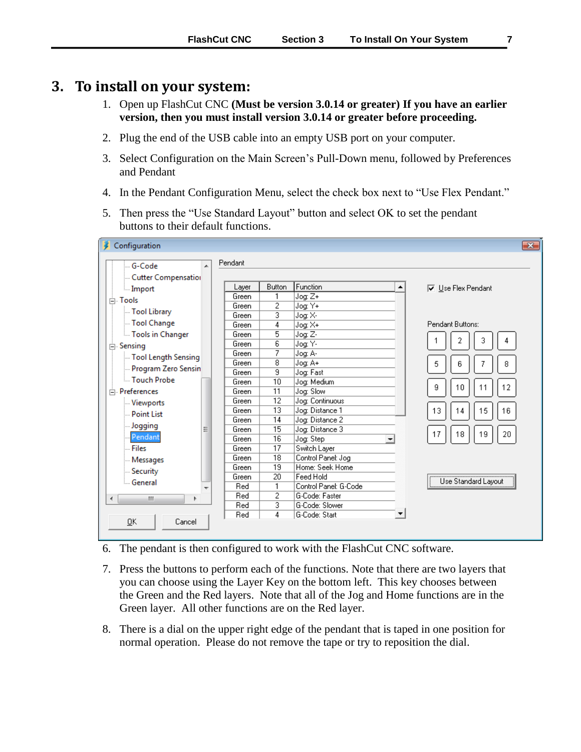### <span id="page-6-0"></span>**3. To install on your system:**

- 1. Open up FlashCut CNC **(Must be version 3.0.14 or greater) If you have an earlier version, then you must install version 3.0.14 or greater before proceeding.**
- 2. Plug the end of the USB cable into an empty USB port on your computer.
- 3. Select Configuration on the Main Screen's Pull-Down menu, followed by Preferences and Pendant
- 4. In the Pendant Configuration Menu, select the check box next to "Use Flex Pendant."
- 5. Then press the "Use Standard Layout" button and select OK to set the pendant buttons to their default functions.

| Pendant<br>- G-Code<br>▲<br>Cutter Compensation<br>Function<br><b>Button</b><br>Layer<br><b>▽</b> Use Flex Pendant<br>٠<br><b>Emport</b><br>Jog: Z+<br>Green<br>in Tools<br>$\overline{2}$<br>Green<br>Jog: Y+<br>- Tool Library<br>3<br>Jog: X-<br>Green<br>- Tool Change<br>Pendant Buttons:<br>4<br>Jog: X+<br>Green<br>5<br>Green<br>Tools in Changer<br>Jog: Z-<br>3<br>2<br>4<br>$\overline{6}$<br>Jog: Y-<br>Green<br>白· Sensing<br>7<br>Green<br>Jog: A-<br>Tool Length Sensing<br>8<br>Green<br>Jog: A+<br>5<br>8<br>6<br>- Program Zero Sensin<br>9<br>Jog: Fast<br>Green<br>Touch Probe<br>10<br>Jog: Medium<br>Green<br>12<br>9<br>10<br>11<br>11<br>Jog: Slow<br><b>E</b> -Preferences<br>Green<br>$\overline{12}$<br>Jog: Continuous<br>Green<br>Viewports<br>13<br>Green<br>Jog: Distance 1<br>13<br>15<br>16<br>14<br><b>Point List</b><br>14<br>Jog: Distance 2<br>Green<br>Jogging<br>15<br>Jog: Distance 3<br>Green<br>Ξ<br>17<br>18<br>19<br>20<br>Pendant<br>$\overline{16}$<br>Green<br>Jog: Step<br>┯<br>17<br>- Files<br>Switch Layer<br>Green<br>18<br>Control Panel: Jog<br>Green<br>- Messages<br>19<br>Home: Seek Home<br>Green<br>- Security<br>20<br>Feed Hold<br>Green<br>Use Standard Layout<br><b>General</b><br>1<br>Control Panel: G-Code<br>Red | Configuration |                                         | $\mathbf{x}$ |
|-------------------------------------------------------------------------------------------------------------------------------------------------------------------------------------------------------------------------------------------------------------------------------------------------------------------------------------------------------------------------------------------------------------------------------------------------------------------------------------------------------------------------------------------------------------------------------------------------------------------------------------------------------------------------------------------------------------------------------------------------------------------------------------------------------------------------------------------------------------------------------------------------------------------------------------------------------------------------------------------------------------------------------------------------------------------------------------------------------------------------------------------------------------------------------------------------------------------------------------------------------------------------------------|---------------|-----------------------------------------|--------------|
|                                                                                                                                                                                                                                                                                                                                                                                                                                                                                                                                                                                                                                                                                                                                                                                                                                                                                                                                                                                                                                                                                                                                                                                                                                                                                     |               |                                         |              |
|                                                                                                                                                                                                                                                                                                                                                                                                                                                                                                                                                                                                                                                                                                                                                                                                                                                                                                                                                                                                                                                                                                                                                                                                                                                                                     |               |                                         |              |
|                                                                                                                                                                                                                                                                                                                                                                                                                                                                                                                                                                                                                                                                                                                                                                                                                                                                                                                                                                                                                                                                                                                                                                                                                                                                                     |               |                                         |              |
|                                                                                                                                                                                                                                                                                                                                                                                                                                                                                                                                                                                                                                                                                                                                                                                                                                                                                                                                                                                                                                                                                                                                                                                                                                                                                     |               |                                         |              |
|                                                                                                                                                                                                                                                                                                                                                                                                                                                                                                                                                                                                                                                                                                                                                                                                                                                                                                                                                                                                                                                                                                                                                                                                                                                                                     |               |                                         |              |
|                                                                                                                                                                                                                                                                                                                                                                                                                                                                                                                                                                                                                                                                                                                                                                                                                                                                                                                                                                                                                                                                                                                                                                                                                                                                                     |               |                                         |              |
|                                                                                                                                                                                                                                                                                                                                                                                                                                                                                                                                                                                                                                                                                                                                                                                                                                                                                                                                                                                                                                                                                                                                                                                                                                                                                     |               |                                         |              |
|                                                                                                                                                                                                                                                                                                                                                                                                                                                                                                                                                                                                                                                                                                                                                                                                                                                                                                                                                                                                                                                                                                                                                                                                                                                                                     |               |                                         |              |
|                                                                                                                                                                                                                                                                                                                                                                                                                                                                                                                                                                                                                                                                                                                                                                                                                                                                                                                                                                                                                                                                                                                                                                                                                                                                                     |               |                                         |              |
|                                                                                                                                                                                                                                                                                                                                                                                                                                                                                                                                                                                                                                                                                                                                                                                                                                                                                                                                                                                                                                                                                                                                                                                                                                                                                     |               |                                         |              |
|                                                                                                                                                                                                                                                                                                                                                                                                                                                                                                                                                                                                                                                                                                                                                                                                                                                                                                                                                                                                                                                                                                                                                                                                                                                                                     |               |                                         |              |
|                                                                                                                                                                                                                                                                                                                                                                                                                                                                                                                                                                                                                                                                                                                                                                                                                                                                                                                                                                                                                                                                                                                                                                                                                                                                                     |               |                                         |              |
|                                                                                                                                                                                                                                                                                                                                                                                                                                                                                                                                                                                                                                                                                                                                                                                                                                                                                                                                                                                                                                                                                                                                                                                                                                                                                     |               |                                         |              |
|                                                                                                                                                                                                                                                                                                                                                                                                                                                                                                                                                                                                                                                                                                                                                                                                                                                                                                                                                                                                                                                                                                                                                                                                                                                                                     |               |                                         |              |
|                                                                                                                                                                                                                                                                                                                                                                                                                                                                                                                                                                                                                                                                                                                                                                                                                                                                                                                                                                                                                                                                                                                                                                                                                                                                                     |               |                                         |              |
|                                                                                                                                                                                                                                                                                                                                                                                                                                                                                                                                                                                                                                                                                                                                                                                                                                                                                                                                                                                                                                                                                                                                                                                                                                                                                     |               |                                         |              |
|                                                                                                                                                                                                                                                                                                                                                                                                                                                                                                                                                                                                                                                                                                                                                                                                                                                                                                                                                                                                                                                                                                                                                                                                                                                                                     |               |                                         |              |
|                                                                                                                                                                                                                                                                                                                                                                                                                                                                                                                                                                                                                                                                                                                                                                                                                                                                                                                                                                                                                                                                                                                                                                                                                                                                                     |               |                                         |              |
|                                                                                                                                                                                                                                                                                                                                                                                                                                                                                                                                                                                                                                                                                                                                                                                                                                                                                                                                                                                                                                                                                                                                                                                                                                                                                     |               |                                         |              |
|                                                                                                                                                                                                                                                                                                                                                                                                                                                                                                                                                                                                                                                                                                                                                                                                                                                                                                                                                                                                                                                                                                                                                                                                                                                                                     |               |                                         |              |
|                                                                                                                                                                                                                                                                                                                                                                                                                                                                                                                                                                                                                                                                                                                                                                                                                                                                                                                                                                                                                                                                                                                                                                                                                                                                                     |               |                                         |              |
|                                                                                                                                                                                                                                                                                                                                                                                                                                                                                                                                                                                                                                                                                                                                                                                                                                                                                                                                                                                                                                                                                                                                                                                                                                                                                     |               |                                         |              |
|                                                                                                                                                                                                                                                                                                                                                                                                                                                                                                                                                                                                                                                                                                                                                                                                                                                                                                                                                                                                                                                                                                                                                                                                                                                                                     |               |                                         |              |
|                                                                                                                                                                                                                                                                                                                                                                                                                                                                                                                                                                                                                                                                                                                                                                                                                                                                                                                                                                                                                                                                                                                                                                                                                                                                                     |               |                                         |              |
| $\blacktriangleleft$                                                                                                                                                                                                                                                                                                                                                                                                                                                                                                                                                                                                                                                                                                                                                                                                                                                                                                                                                                                                                                                                                                                                                                                                                                                                | ņп,<br>Þ.     | $\overline{2}$<br>G-Code: Faster<br>Red |              |
| 3<br>G-Code: Slower<br>Red                                                                                                                                                                                                                                                                                                                                                                                                                                                                                                                                                                                                                                                                                                                                                                                                                                                                                                                                                                                                                                                                                                                                                                                                                                                          |               |                                         |              |
| 4<br>Red<br>G-Code: Start                                                                                                                                                                                                                                                                                                                                                                                                                                                                                                                                                                                                                                                                                                                                                                                                                                                                                                                                                                                                                                                                                                                                                                                                                                                           |               |                                         |              |
| $\overline{\mathsf{g}}$ K<br>Cancel                                                                                                                                                                                                                                                                                                                                                                                                                                                                                                                                                                                                                                                                                                                                                                                                                                                                                                                                                                                                                                                                                                                                                                                                                                                 |               |                                         |              |

#### 6. The pendant is then configured to work with the FlashCut CNC software.

- 7. Press the buttons to perform each of the functions. Note that there are two layers that you can choose using the Layer Key on the bottom left. This key chooses between the Green and the Red layers. Note that all of the Jog and Home functions are in the Green layer. All other functions are on the Red layer.
- 8. There is a dial on the upper right edge of the pendant that is taped in one position for normal operation. Please do not remove the tape or try to reposition the dial.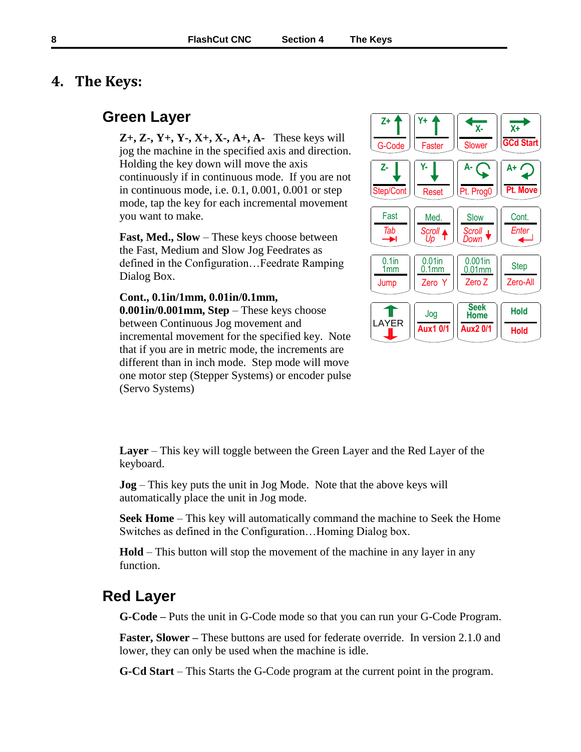## <span id="page-7-0"></span>**4. The Keys:**

# <span id="page-7-2"></span><span id="page-7-1"></span>**Green Layer**

**Z+, Z-, Y+, Y-, X+, X-, A+, A-** These keys will jog the machine in the specified axis and direction. Holding the key down will move the axis continuously if in continuous mode. If you are not in continuous mode, i.e. 0.1, 0.001, 0.001 or step mode, tap the key for each incremental movement you want to make.

<span id="page-7-3"></span>**Fast, Med., Slow** – These keys choose between the Fast, Medium and Slow Jog Feedrates as defined in the Configuration…Feedrate Ramping Dialog Box.

#### <span id="page-7-4"></span>**Cont., 0.1in/1mm, 0.01in/0.1mm,**

**0.001in/0.001mm, Step** – These keys choose between Continuous Jog movement and incremental movement for the specified key. Note that if you are in metric mode, the increments are different than in inch mode. Step mode will move one motor step (Stepper Systems) or encoder pulse (Servo Systems)



<span id="page-7-5"></span>**Layer** – This key will toggle between the Green Layer and the Red Layer of the keyboard.

<span id="page-7-6"></span>**Jog** – This key puts the unit in Jog Mode. Note that the above keys will automatically place the unit in Jog mode.

<span id="page-7-7"></span>**Seek Home** – This key will automatically command the machine to Seek the Home Switches as defined in the Configuration…Homing Dialog box.

**Hold** – This button will stop the movement of the machine in any layer in any function.

## <span id="page-7-11"></span><span id="page-7-10"></span><span id="page-7-9"></span><span id="page-7-8"></span>**Red Layer**

**G-Code –** Puts the unit in G-Code mode so that you can run your G-Code Program.

**Faster, Slower –** These buttons are used for federate override. In version 2.1.0 and lower, they can only be used when the machine is idle.

<span id="page-7-12"></span>**G-Cd Start** – This Starts the G-Code program at the current point in the program.